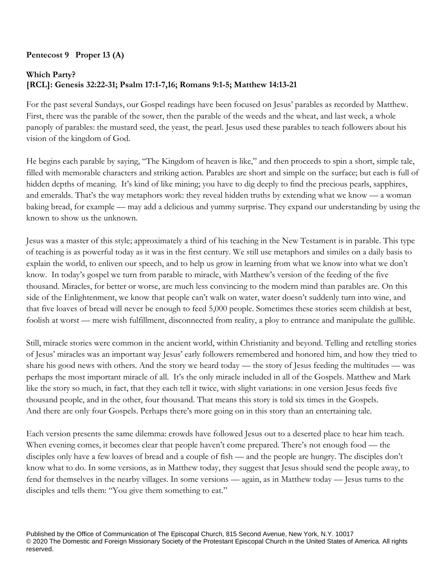## **Pentecost 9 Proper 13 (A)**

## **Which Party? [RCL]: Genesis 32:22-31; Psalm 17:1-7,16; Romans 9:1-5; Matthew 14:13-21**

For the past several Sundays, our Gospel readings have been focused on Jesus' parables as recorded by Matthew. First, there was the parable of the sower, then the parable of the weeds and the wheat, and last week, a whole panoply of parables: the mustard seed, the yeast, the pearl. Jesus used these parables to teach followers about his vision of the kingdom of God.

He begins each parable by saying, "The Kingdom of heaven is like," and then proceeds to spin a short, simple tale, filled with memorable characters and striking action. Parables are short and simple on the surface; but each is full of hidden depths of meaning. It's kind of like mining; you have to dig deeply to find the precious pearls, sapphires, and emeralds. That's the way metaphors work: they reveal hidden truths by extending what we know — a woman baking bread, for example — may add a delicious and yummy surprise. They expand our understanding by using the known to show us the unknown.

Jesus was a master of this style; approximately a third of his teaching in the New Testament is in parable. This type of teaching is as powerful today as it was in the first century. We still use metaphors and similes on a daily basis to explain the world, to enliven our speech, and to help us grow in learning from what we know into what we don't know. In today's gospel we turn from parable to miracle, with Matthew's version of the feeding of the five thousand. Miracles, for better or worse, are much less convincing to the modern mind than parables are. On this side of the Enlightenment, we know that people can't walk on water, water doesn't suddenly turn into wine, and that five loaves of bread will never be enough to feed 5,000 people. Sometimes these stories seem childish at best, foolish at worst — mere wish fulfillment, disconnected from reality, a ploy to entrance and manipulate the gullible.

Still, miracle stories were common in the ancient world, within Christianity and beyond. Telling and retelling stories of Jesus' miracles was an important way Jesus' early followers remembered and honored him, and how they tried to share his good news with others. And the story we heard today — the story of Jesus feeding the multitudes — was perhaps the most important miracle of all. It's the only miracle included in all of the Gospels. Matthew and Mark like the story so much, in fact, that they each tell it twice, with slight variations: in one version Jesus feeds five thousand people, and in the other, four thousand. That means this story is told six times in the Gospels. And there are only four Gospels. Perhaps there's more going on in this story than an entertaining tale.

Each version presents the same dilemma: crowds have followed Jesus out to a deserted place to hear him teach. When evening comes, it becomes clear that people haven't come prepared. There's not enough food — the disciples only have a few loaves of bread and a couple of fish — and the people are hungry. The disciples don't know what to do. In some versions, as in Matthew today, they suggest that Jesus should send the people away, to fend for themselves in the nearby villages. In some versions — again, as in Matthew today — Jesus turns to the disciples and tells them: "You give them something to eat."

Published by the Office of Communication of The Episcopal Church, 815 Second Avenue, New York, N.Y. 10017 © 2020 The Domestic and Foreign Missionary Society of the Protestant Episcopal Church in the United States of America. All rights reserved.